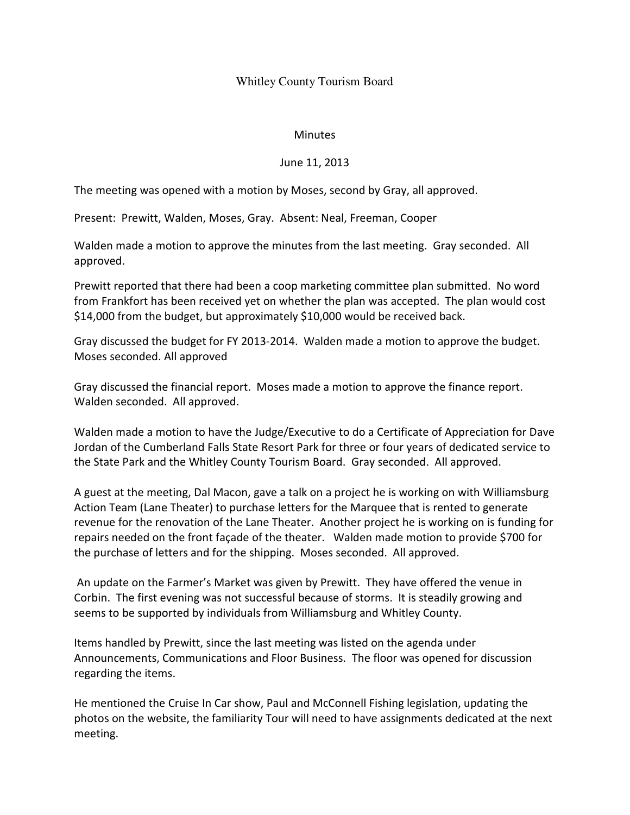## Whitley County Tourism Board

## Minutes

## June 11, 2013

The meeting was opened with a motion by Moses, second by Gray, all approved.

Present: Prewitt, Walden, Moses, Gray. Absent: Neal, Freeman, Cooper

Walden made a motion to approve the minutes from the last meeting. Gray seconded. All approved.

Prewitt reported that there had been a coop marketing committee plan submitted. No word from Frankfort has been received yet on whether the plan was accepted. The plan would cost \$14,000 from the budget, but approximately \$10,000 would be received back.

Gray discussed the budget for FY 2013-2014. Walden made a motion to approve the budget. Moses seconded. All approved

Gray discussed the financial report. Moses made a motion to approve the finance report. Walden seconded. All approved.

Walden made a motion to have the Judge/Executive to do a Certificate of Appreciation for Dave Jordan of the Cumberland Falls State Resort Park for three or four years of dedicated service to the State Park and the Whitley County Tourism Board. Gray seconded. All approved.

A guest at the meeting, Dal Macon, gave a talk on a project he is working on with Williamsburg Action Team (Lane Theater) to purchase letters for the Marquee that is rented to generate revenue for the renovation of the Lane Theater. Another project he is working on is funding for repairs needed on the front façade of the theater. Walden made motion to provide \$700 for the purchase of letters and for the shipping. Moses seconded. All approved.

 An update on the Farmer's Market was given by Prewitt. They have offered the venue in Corbin. The first evening was not successful because of storms. It is steadily growing and seems to be supported by individuals from Williamsburg and Whitley County.

Items handled by Prewitt, since the last meeting was listed on the agenda under Announcements, Communications and Floor Business. The floor was opened for discussion regarding the items.

He mentioned the Cruise In Car show, Paul and McConnell Fishing legislation, updating the photos on the website, the familiarity Tour will need to have assignments dedicated at the next meeting.